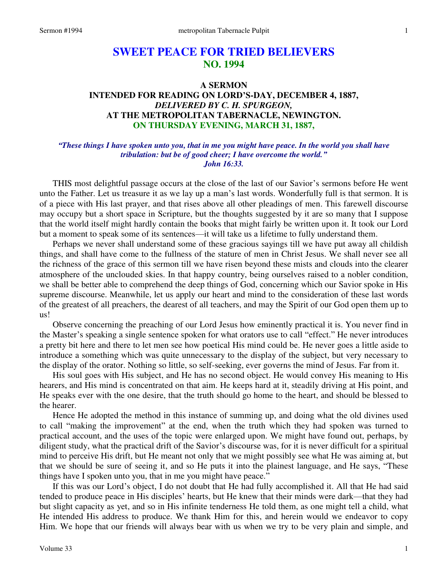# **SWEET PEACE FOR TRIED BELIEVERS NO. 1994**

## **A SERMON INTENDED FOR READING ON LORD'S-DAY, DECEMBER 4, 1887,**  *DELIVERED BY C. H. SPURGEON,*  **AT THE METROPOLITAN TABERNACLE, NEWINGTON. ON THURSDAY EVENING, MARCH 31, 1887,**

### *"These things I have spoken unto you, that in me you might have peace. In the world you shall have tribulation: but be of good cheer; I have overcome the world." John 16:33.*

THIS most delightful passage occurs at the close of the last of our Savior's sermons before He went unto the Father. Let us treasure it as we lay up a man's last words. Wonderfully full is that sermon. It is of a piece with His last prayer, and that rises above all other pleadings of men. This farewell discourse may occupy but a short space in Scripture, but the thoughts suggested by it are so many that I suppose that the world itself might hardly contain the books that might fairly be written upon it. It took our Lord but a moment to speak some of its sentences—it will take us a lifetime to fully understand them.

Perhaps we never shall understand some of these gracious sayings till we have put away all childish things, and shall have come to the fullness of the stature of men in Christ Jesus. We shall never see all the richness of the grace of this sermon till we have risen beyond these mists and clouds into the clearer atmosphere of the unclouded skies. In that happy country, being ourselves raised to a nobler condition, we shall be better able to comprehend the deep things of God, concerning which our Savior spoke in His supreme discourse. Meanwhile, let us apply our heart and mind to the consideration of these last words of the greatest of all preachers, the dearest of all teachers, and may the Spirit of our God open them up to us!

Observe concerning the preaching of our Lord Jesus how eminently practical it is. You never find in the Master's speaking a single sentence spoken for what orators use to call "effect." He never introduces a pretty bit here and there to let men see how poetical His mind could be. He never goes a little aside to introduce a something which was quite unnecessary to the display of the subject, but very necessary to the display of the orator. Nothing so little, so self-seeking, ever governs the mind of Jesus. Far from it.

His soul goes with His subject, and He has no second object. He would convey His meaning to His hearers, and His mind is concentrated on that aim. He keeps hard at it, steadily driving at His point, and He speaks ever with the one desire, that the truth should go home to the heart, and should be blessed to the hearer.

Hence He adopted the method in this instance of summing up, and doing what the old divines used to call "making the improvement" at the end, when the truth which they had spoken was turned to practical account, and the uses of the topic were enlarged upon. We might have found out, perhaps, by diligent study, what the practical drift of the Savior's discourse was, for it is never difficult for a spiritual mind to perceive His drift, but He meant not only that we might possibly see what He was aiming at, but that we should be sure of seeing it, and so He puts it into the plainest language, and He says, "These things have I spoken unto you, that in me you might have peace."

If this was our Lord's object, I do not doubt that He had fully accomplished it. All that He had said tended to produce peace in His disciples' hearts, but He knew that their minds were dark—that they had but slight capacity as yet, and so in His infinite tenderness He told them, as one might tell a child, what He intended His address to produce. We thank Him for this, and herein would we endeavor to copy Him. We hope that our friends will always bear with us when we try to be very plain and simple, and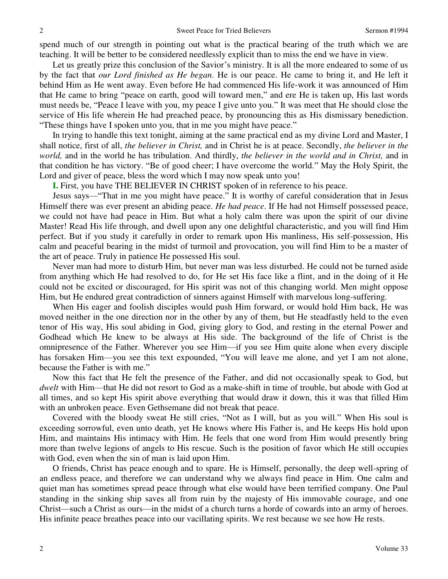spend much of our strength in pointing out what is the practical bearing of the truth which we are teaching. It will be better to be considered needlessly explicit than to miss the end we have in view.

Let us greatly prize this conclusion of the Savior's ministry. It is all the more endeared to some of us by the fact that *our Lord finished as He began*. He is our peace. He came to bring it, and He left it behind Him as He went away. Even before He had commenced His life-work it was announced of Him that He came to bring "peace on earth, good will toward men," and ere He is taken up, His last words must needs be, "Peace I leave with you, my peace I give unto you." It was meet that He should close the service of His life wherein He had preached peace, by pronouncing this as His dismissary benediction. "These things have I spoken unto you, that in me you might have peace."

In trying to handle this text tonight, aiming at the same practical end as my divine Lord and Master, I shall notice, first of all, *the believer in Christ,* and in Christ he is at peace. Secondly, *the believer in the world,* and in the world he has tribulation. And thirdly, *the believer in the world and in Christ,* and in that condition he has victory. "Be of good cheer; I have overcome the world." May the Holy Spirit, the Lord and giver of peace, bless the word which I may now speak unto you!

**I.** First, you have THE BELIEVER IN CHRIST spoken of in reference to his peace.

Jesus says—"That in me you might have peace." It is worthy of careful consideration that in Jesus Himself there was ever present an abiding peace. *He had peace*. If He had not Himself possessed peace, we could not have had peace in Him. But what a holy calm there was upon the spirit of our divine Master! Read His life through, and dwell upon any one delightful characteristic, and you will find Him perfect. But if you study it carefully in order to remark upon His manliness, His self-possession, His calm and peaceful bearing in the midst of turmoil and provocation, you will find Him to be a master of the art of peace. Truly in patience He possessed His soul.

Never man had more to disturb Him, but never man was less disturbed. He could not be turned aside from anything which He had resolved to do, for He set His face like a flint, and in the doing of it He could not be excited or discouraged, for His spirit was not of this changing world. Men might oppose Him, but He endured great contradiction of sinners against Himself with marvelous long-suffering.

When His eager and foolish disciples would push Him forward, or would hold Him back, He was moved neither in the one direction nor in the other by any of them, but He steadfastly held to the even tenor of His way, His soul abiding in God, giving glory to God, and resting in the eternal Power and Godhead which He knew to be always at His side. The background of the life of Christ is the omnipresence of the Father. Wherever you see Him—if you see Him quite alone when every disciple has forsaken Him—you see this text expounded, "You will leave me alone, and yet I am not alone, because the Father is with me."

Now this fact that He felt the presence of the Father, and did not occasionally speak to God, but *dwelt* with Him—that He did not resort to God as a make-shift in time of trouble, but abode with God at all times, and so kept His spirit above everything that would draw it down, this it was that filled Him with an unbroken peace. Even Gethsemane did not break that peace.

Covered with the bloody sweat He still cries, "Not as I will, but as you will." When His soul is exceeding sorrowful, even unto death, yet He knows where His Father is, and He keeps His hold upon Him, and maintains His intimacy with Him. He feels that one word from Him would presently bring more than twelve legions of angels to His rescue. Such is the position of favor which He still occupies with God, even when the sin of man is laid upon Him.

O friends, Christ has peace enough and to spare. He is Himself, personally, the deep well-spring of an endless peace, and therefore we can understand why we always find peace in Him. One calm and quiet man has sometimes spread peace through what else would have been terrified company. One Paul standing in the sinking ship saves all from ruin by the majesty of His immovable courage, and one Christ—such a Christ as ours—in the midst of a church turns a horde of cowards into an army of heroes. His infinite peace breathes peace into our vacillating spirits. We rest because we see how He rests.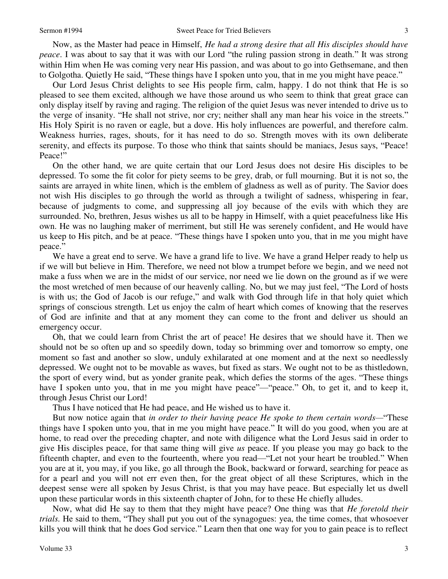Now, as the Master had peace in Himself, *He had a strong desire that all His disciples should have peace*. I was about to say that it was with our Lord "the ruling passion strong in death." It was strong within Him when He was coming very near His passion, and was about to go into Gethsemane, and then to Golgotha. Quietly He said, "These things have I spoken unto you, that in me you might have peace."

Our Lord Jesus Christ delights to see His people firm, calm, happy. I do not think that He is so pleased to see them excited, although we have those around us who seem to think that great grace can only display itself by raving and raging. The religion of the quiet Jesus was never intended to drive us to the verge of insanity. "He shall not strive, nor cry; neither shall any man hear his voice in the streets." His Holy Spirit is no raven or eagle, but a dove. His holy influences are powerful, and therefore calm. Weakness hurries, rages, shouts, for it has need to do so. Strength moves with its own deliberate serenity, and effects its purpose. To those who think that saints should be maniacs, Jesus says, "Peace! Peace!"

On the other hand, we are quite certain that our Lord Jesus does not desire His disciples to be depressed. To some the fit color for piety seems to be grey, drab, or full mourning. But it is not so, the saints are arrayed in white linen, which is the emblem of gladness as well as of purity. The Savior does not wish His disciples to go through the world as through a twilight of sadness, whispering in fear, because of judgments to come, and suppressing all joy because of the evils with which they are surrounded. No, brethren, Jesus wishes us all to be happy in Himself, with a quiet peacefulness like His own. He was no laughing maker of merriment, but still He was serenely confident, and He would have us keep to His pitch, and be at peace. "These things have I spoken unto you, that in me you might have peace."

We have a great end to serve. We have a grand life to live. We have a grand Helper ready to help us if we will but believe in Him. Therefore, we need not blow a trumpet before we begin, and we need not make a fuss when we are in the midst of our service, nor need we lie down on the ground as if we were the most wretched of men because of our heavenly calling. No, but we may just feel, "The Lord of hosts is with us; the God of Jacob is our refuge," and walk with God through life in that holy quiet which springs of conscious strength. Let us enjoy the calm of heart which comes of knowing that the reserves of God are infinite and that at any moment they can come to the front and deliver us should an emergency occur.

Oh, that we could learn from Christ the art of peace! He desires that we should have it. Then we should not be so often up and so speedily down, today so brimming over and tomorrow so empty, one moment so fast and another so slow, unduly exhilarated at one moment and at the next so needlessly depressed. We ought not to be movable as waves, but fixed as stars. We ought not to be as thistledown, the sport of every wind, but as yonder granite peak, which defies the storms of the ages. "These things have I spoken unto you, that in me you might have peace"—"peace." Oh, to get it, and to keep it, through Jesus Christ our Lord!

Thus I have noticed that He had peace, and He wished us to have it.

But now notice again that *in order to their having peace He spoke to them certain words—*"These things have I spoken unto you, that in me you might have peace." It will do you good, when you are at home, to read over the preceding chapter, and note with diligence what the Lord Jesus said in order to give His disciples peace, for that same thing will give *us* peace. If you please you may go back to the fifteenth chapter, and even to the fourteenth, where you read—"Let not your heart be troubled." When you are at it, you may, if you like, go all through the Book, backward or forward, searching for peace as for a pearl and you will not err even then, for the great object of all these Scriptures, which in the deepest sense were all spoken by Jesus Christ, is that you may have peace. But especially let us dwell upon these particular words in this sixteenth chapter of John, for to these He chiefly alludes.

Now, what did He say to them that they might have peace? One thing was that *He foretold their trials.* He said to them, "They shall put you out of the synagogues: yea, the time comes, that whosoever kills you will think that he does God service." Learn then that one way for you to gain peace is to reflect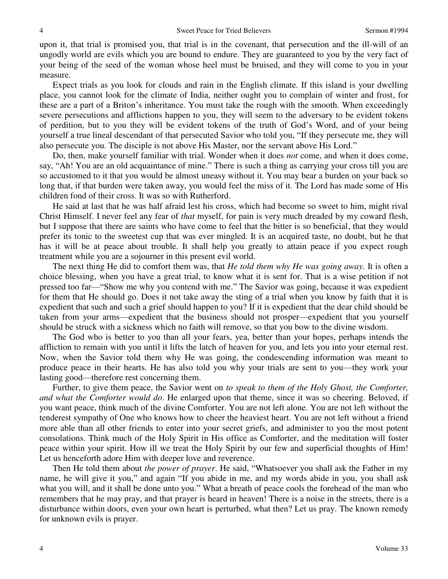upon it, that trial is promised you, that trial is in the covenant, that persecution and the ill-will of an ungodly world are evils which you are bound to endure. They are guaranteed to you by the very fact of your being of the seed of the woman whose heel must be bruised, and they will come to you in your measure.

Expect trials as you look for clouds and rain in the English climate. If this island is your dwelling place, you cannot look for the climate of India, neither ought you to complain of winter and frost, for these are a part of a Briton's inheritance. You must take the rough with the smooth. When exceedingly severe persecutions and afflictions happen to you, they will seem to the adversary to be evident tokens of perdition, but to you they will be evident tokens of the truth of God's Word, and of your being yourself a true lineal descendant of that persecuted Savior who told you, "If they persecute me, they will also persecute you. The disciple is not above His Master, nor the servant above His Lord."

Do, then, make yourself familiar with trial. Wonder when it does *not* come, and when it does come, say, "Ah! You are an old acquaintance of mine." There is such a thing as carrying your cross till you are so accustomed to it that you would be almost uneasy without it. You may bear a burden on your back so long that, if that burden were taken away, you would feel the miss of it. The Lord has made some of His children fond of their cross. It was so with Rutherford.

He said at last that he was half afraid lest his cross, which had become so sweet to him, might rival Christ Himself. I never feel any fear of *that* myself, for pain is very much dreaded by my coward flesh, but I suppose that there are saints who have come to feel that the bitter is so beneficial, that they would prefer its tonic to the sweetest cup that was ever mingled. It is an acquired taste, no doubt, but he that has it will be at peace about trouble. It shall help you greatly to attain peace if you expect rough treatment while you are a sojourner in this present evil world.

The next thing He did to comfort them was, that *He told them why He was going away*. It is often a choice blessing, when you have a great trial, to know what it is sent for. That is a wise petition if not pressed too far—"Show me why you contend with me." The Savior was going, because it was expedient for them that He should go. Does it not take away the sting of a trial when you know by faith that it is expedient that such and such a grief should happen to you? If it is expedient that the dear child should be taken from your arms—expedient that the business should not prosper—expedient that you yourself should be struck with a sickness which no faith will remove, so that you bow to the divine wisdom.

The God who is better to you than all your fears, yea, better than your hopes, perhaps intends the affliction to remain with you until it lifts the latch of heaven for you, and lets you into your eternal rest. Now, when the Savior told them why He was going, the condescending information was meant to produce peace in their hearts. He has also told you why your trials are sent to you—they work your lasting good—therefore rest concerning them.

Further, to give them peace, the Savior went on *to speak to them of the Holy Ghost, the Comforter, and what the Comforter would do*. He enlarged upon that theme, since it was so cheering. Beloved, if you want peace, think much of the divine Comforter. You are not left alone. You are not left without the tenderest sympathy of One who knows how to cheer the heaviest heart. You are not left without a friend more able than all other friends to enter into your secret griefs, and administer to you the most potent consolations. Think much of the Holy Spirit in His office as Comforter, and the meditation will foster peace within your spirit. How ill we treat the Holy Spirit by our few and superficial thoughts of Him! Let us henceforth adore Him with deeper love and reverence.

Then He told them about *the power of prayer*. He said, "Whatsoever you shall ask the Father in my name, he will give it you," and again "If you abide in me, and my words abide in you, you shall ask what you will, and it shall be done unto you." What a breath of peace cools the forehead of the man who remembers that he may pray, and that prayer is heard in heaven! There is a noise in the streets, there is a disturbance within doors, even your own heart is perturbed, what then? Let us pray. The known remedy for unknown evils is prayer.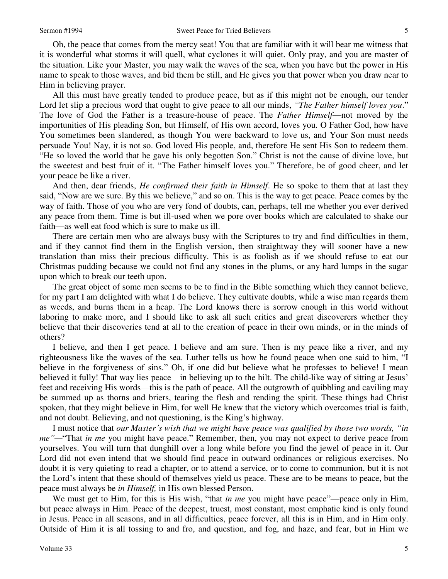Oh, the peace that comes from the mercy seat! You that are familiar with it will bear me witness that it is wonderful what storms it will quell, what cyclones it will quiet. Only pray, and you are master of the situation. Like your Master, you may walk the waves of the sea, when you have but the power in His name to speak to those waves, and bid them be still, and He gives you that power when you draw near to Him in believing prayer.

All this must have greatly tended to produce peace, but as if this might not be enough, our tender Lord let slip a precious word that ought to give peace to all our minds, *"The Father himself loves you*." The love of God the Father is a treasure-house of peace. The *Father Himself*—not moved by the importunities of His pleading Son, but Himself, of His own accord, loves you. O Father God, how have You sometimes been slandered, as though You were backward to love us, and Your Son must needs persuade You! Nay, it is not so. God loved His people, and, therefore He sent His Son to redeem them. "He so loved the world that he gave his only begotten Son." Christ is not the cause of divine love, but the sweetest and best fruit of it. "The Father himself loves you." Therefore, be of good cheer, and let your peace be like a river.

And then, dear friends, *He confirmed their faith in Himself*. He so spoke to them that at last they said, "Now are we sure. By this we believe," and so on. This is the way to get peace. Peace comes by the way of faith. Those of you who are very fond of doubts, can, perhaps, tell me whether you ever derived any peace from them. Time is but ill-used when we pore over books which are calculated to shake our faith—as well eat food which is sure to make us ill.

There are certain men who are always busy with the Scriptures to try and find difficulties in them, and if they cannot find them in the English version, then straightway they will sooner have a new translation than miss their precious difficulty. This is as foolish as if we should refuse to eat our Christmas pudding because we could not find any stones in the plums, or any hard lumps in the sugar upon which to break our teeth upon.

The great object of some men seems to be to find in the Bible something which they cannot believe, for my part I am delighted with what I do believe. They cultivate doubts, while a wise man regards them as weeds, and burns them in a heap. The Lord knows there is sorrow enough in this world without laboring to make more, and I should like to ask all such critics and great discoverers whether they believe that their discoveries tend at all to the creation of peace in their own minds, or in the minds of others?

I believe, and then I get peace. I believe and am sure. Then is my peace like a river, and my righteousness like the waves of the sea. Luther tells us how he found peace when one said to him, "I believe in the forgiveness of sins." Oh, if one did but believe what he professes to believe! I mean believed it fully! That way lies peace—in believing up to the hilt. The child-like way of sitting at Jesus' feet and receiving His words—this is the path of peace. All the outgrowth of quibbling and caviling may be summed up as thorns and briers, tearing the flesh and rending the spirit. These things had Christ spoken, that they might believe in Him, for well He knew that the victory which overcomes trial is faith, and not doubt. Believing, and not questioning, is the King's highway.

I must notice that *our Master's wish that we might have peace was qualified by those two words, "in me"—*"That *in me* you might have peace." Remember, then, you may not expect to derive peace from yourselves. You will turn that dunghill over a long while before you find the jewel of peace in it. Our Lord did not even intend that we should find peace in outward ordinances or religious exercises. No doubt it is very quieting to read a chapter, or to attend a service, or to come to communion, but it is not the Lord's intent that these should of themselves yield us peace. These are to be means to peace, but the peace must always be *in Himself,* in His own blessed Person.

We must get to Him, for this is His wish, "that *in me* you might have peace"—peace only in Him, but peace always in Him. Peace of the deepest, truest, most constant, most emphatic kind is only found in Jesus. Peace in all seasons, and in all difficulties, peace forever, all this is in Him, and in Him only. Outside of Him it is all tossing to and fro, and question, and fog, and haze, and fear, but in Him we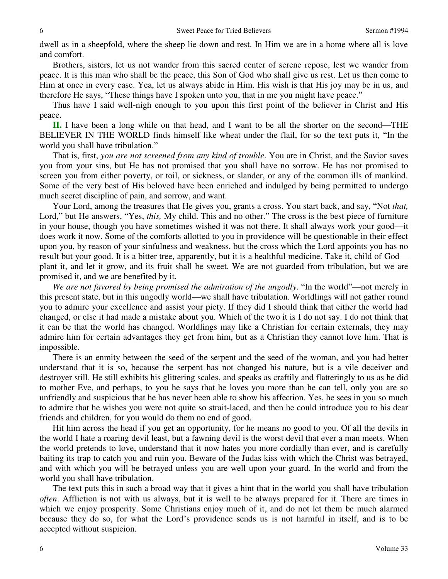dwell as in a sheepfold, where the sheep lie down and rest. In Him we are in a home where all is love and comfort.

Brothers, sisters, let us not wander from this sacred center of serene repose, lest we wander from peace. It is this man who shall be the peace, this Son of God who shall give us rest. Let us then come to Him at once in every case. Yea, let us always abide in Him. His wish is that His joy may be in us, and therefore He says, "These things have I spoken unto you, that in me you might have peace."

Thus have I said well-nigh enough to you upon this first point of the believer in Christ and His peace.

**II.** I have been a long while on that head, and I want to be all the shorter on the second—THE BELIEVER IN THE WORLD finds himself like wheat under the flail, for so the text puts it, "In the world you shall have tribulation."

That is, first, *you are not screened from any kind of trouble*. You are in Christ, and the Savior saves you from your sins, but He has not promised that you shall have no sorrow. He has not promised to screen you from either poverty, or toil, or sickness, or slander, or any of the common ills of mankind. Some of the very best of His beloved have been enriched and indulged by being permitted to undergo much secret discipline of pain, and sorrow, and want.

Your Lord, among the treasures that He gives you, grants a cross. You start back, and say, "Not *that,* Lord," but He answers, "Yes, *this,* My child. This and no other." The cross is the best piece of furniture in your house, though you have sometimes wished it was not there. It shall always work your good—it does work it now. Some of the comforts allotted to you in providence will be questionable in their effect upon you, by reason of your sinfulness and weakness, but the cross which the Lord appoints you has no result but your good. It is a bitter tree, apparently, but it is a healthful medicine. Take it, child of God plant it, and let it grow, and its fruit shall be sweet. We are not guarded from tribulation, but we are promised it, and we are benefited by it.

*We are not favored by being promised the admiration of the ungodly*. "In the world"—not merely in this present state, but in this ungodly world—we shall have tribulation. Worldlings will not gather round you to admire your excellence and assist your piety. If they did I should think that either the world had changed, or else it had made a mistake about you. Which of the two it is I do not say. I do not think that it can be that the world has changed. Worldlings may like a Christian for certain externals, they may admire him for certain advantages they get from him, but as a Christian they cannot love him. That is impossible.

There is an enmity between the seed of the serpent and the seed of the woman, and you had better understand that it is so, because the serpent has not changed his nature, but is a vile deceiver and destroyer still. He still exhibits his glittering scales, and speaks as craftily and flatteringly to us as he did to mother Eve, and perhaps, to you he says that he loves you more than he can tell, only you are so unfriendly and suspicious that he has never been able to show his affection. Yes, he sees in you so much to admire that he wishes you were not quite so strait-laced, and then he could introduce you to his dear friends and children, for you would do them no end of good.

Hit him across the head if you get an opportunity, for he means no good to you. Of all the devils in the world I hate a roaring devil least, but a fawning devil is the worst devil that ever a man meets. When the world pretends to love, understand that it now hates you more cordially than ever, and is carefully baiting its trap to catch you and ruin you. Beware of the Judas kiss with which the Christ was betrayed, and with which you will be betrayed unless you are well upon your guard. In the world and from the world you shall have tribulation.

The text puts this in such a broad way that it gives a hint that in the world you shall have tribulation *often*. Affliction is not with us always, but it is well to be always prepared for it. There are times in which we enjoy prosperity. Some Christians enjoy much of it, and do not let them be much alarmed because they do so, for what the Lord's providence sends us is not harmful in itself, and is to be accepted without suspicion.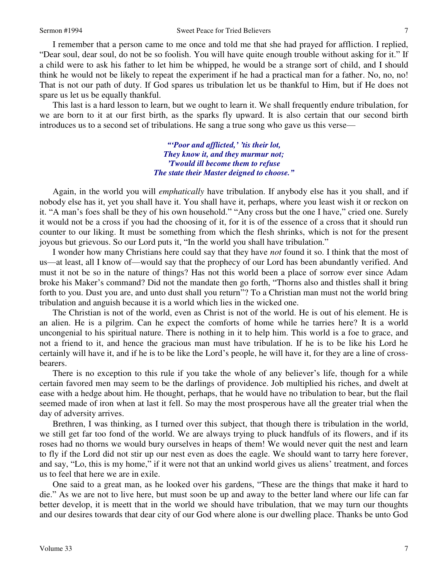I remember that a person came to me once and told me that she had prayed for affliction. I replied, "Dear soul, dear soul, do not be so foolish. You will have quite enough trouble without asking for it." If a child were to ask his father to let him be whipped, he would be a strange sort of child, and I should think he would not be likely to repeat the experiment if he had a practical man for a father. No, no, no! That is not our path of duty. If God spares us tribulation let us be thankful to Him, but if He does not spare us let us be equally thankful.

This last is a hard lesson to learn, but we ought to learn it. We shall frequently endure tribulation, for we are born to it at our first birth, as the sparks fly upward. It is also certain that our second birth introduces us to a second set of tribulations. He sang a true song who gave us this verse—

> *"'Poor and afflicted,' 'tis their lot, They know it, and they murmur not; 'Twould ill become them to refuse The state their Master deigned to choose."*

Again, in the world you will *emphatically* have tribulation. If anybody else has it you shall, and if nobody else has it, yet you shall have it. You shall have it, perhaps, where you least wish it or reckon on it. "A man's foes shall be they of his own household." "Any cross but the one I have," cried one. Surely it would not be a cross if you had the choosing of it, for it is of the essence of a cross that it should run counter to our liking. It must be something from which the flesh shrinks, which is not for the present joyous but grievous. So our Lord puts it, "In the world you shall have tribulation."

I wonder how many Christians here could say that they have *not* found it so. I think that the most of us—at least, all I know of—would say that the prophecy of our Lord has been abundantly verified. And must it not be so in the nature of things? Has not this world been a place of sorrow ever since Adam broke his Maker's command? Did not the mandate then go forth, "Thorns also and thistles shall it bring forth to you. Dust you are, and unto dust shall you return"? To a Christian man must not the world bring tribulation and anguish because it is a world which lies in the wicked one.

The Christian is not of the world, even as Christ is not of the world. He is out of his element. He is an alien. He is a pilgrim. Can he expect the comforts of home while he tarries here? It is a world uncongenial to his spiritual nature. There is nothing in it to help him. This world is a foe to grace, and not a friend to it, and hence the gracious man must have tribulation. If he is to be like his Lord he certainly will have it, and if he is to be like the Lord's people, he will have it, for they are a line of crossbearers.

There is no exception to this rule if you take the whole of any believer's life, though for a while certain favored men may seem to be the darlings of providence. Job multiplied his riches, and dwelt at ease with a hedge about him. He thought, perhaps, that he would have no tribulation to bear, but the flail seemed made of iron when at last it fell. So may the most prosperous have all the greater trial when the day of adversity arrives.

Brethren, I was thinking, as I turned over this subject, that though there is tribulation in the world, we still get far too fond of the world. We are always trying to pluck handfuls of its flowers, and if its roses had no thorns we would bury ourselves in heaps of them! We would never quit the nest and learn to fly if the Lord did not stir up our nest even as does the eagle. We should want to tarry here forever, and say, "Lo, this is my home," if it were not that an unkind world gives us aliens' treatment, and forces us to feel that here we are in exile.

One said to a great man, as he looked over his gardens, "These are the things that make it hard to die." As we are not to live here, but must soon be up and away to the better land where our life can far better develop, it is meett that in the world we should have tribulation, that we may turn our thoughts and our desires towards that dear city of our God where alone is our dwelling place. Thanks be unto God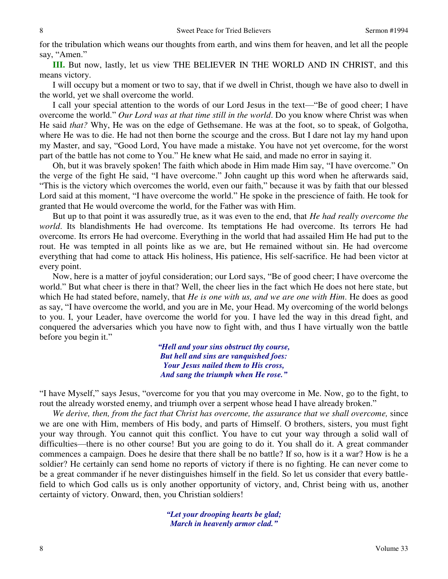for the tribulation which weans our thoughts from earth, and wins them for heaven, and let all the people say, "Amen."

**III.** But now, lastly, let us view THE BELIEVER IN THE WORLD AND IN CHRIST, and this means victory.

I will occupy but a moment or two to say, that if we dwell in Christ, though we have also to dwell in the world, yet we shall overcome the world.

I call your special attention to the words of our Lord Jesus in the text—"Be of good cheer; I have overcome the world." *Our Lord was at that time still in the world*. Do you know where Christ was when He said *that?* Why, He was on the edge of Gethsemane. He was at the foot, so to speak, of Golgotha, where He was to die. He had not then borne the scourge and the cross. But I dare not lay my hand upon my Master, and say, "Good Lord, You have made a mistake. You have not yet overcome, for the worst part of the battle has not come to You." He knew what He said, and made no error in saying it.

Oh, but it was bravely spoken! The faith which abode in Him made Him say, "I have overcome." On the verge of the fight He said, "I have overcome." John caught up this word when he afterwards said, "This is the victory which overcomes the world, even our faith," because it was by faith that our blessed Lord said at this moment, "I have overcome the world." He spoke in the prescience of faith. He took for granted that He would overcome the world, for the Father was with Him.

But up to that point it was assuredly true, as it was even to the end, that *He had really overcome the world*. Its blandishments He had overcome. Its temptations He had overcome. Its terrors He had overcome. Its errors He had overcome. Everything in the world that had assailed Him He had put to the rout. He was tempted in all points like as we are, but He remained without sin. He had overcome everything that had come to attack His holiness, His patience, His self-sacrifice. He had been victor at every point.

Now, here is a matter of joyful consideration; our Lord says, "Be of good cheer; I have overcome the world." But what cheer is there in that? Well, the cheer lies in the fact which He does not here state, but which He had stated before, namely, that *He is one with us, and we are one with Him*. He does as good as say, "I have overcome the world, and you are in Me, your Head. My overcoming of the world belongs to you. I, your Leader, have overcome the world for you. I have led the way in this dread fight, and conquered the adversaries which you have now to fight with, and thus I have virtually won the battle before you begin it."

> *"Hell and your sins obstruct thy course, But hell and sins are vanquished foes: Your Jesus nailed them to His cross, And sang the triumph when He rose."*

"I have Myself," says Jesus, "overcome for you that you may overcome in Me. Now, go to the fight, to rout the already worsted enemy, and triumph over a serpent whose head I have already broken."

*We derive, then, from the fact that Christ has overcome, the assurance that we shall overcome,* since we are one with Him, members of His body, and parts of Himself. O brothers, sisters, you must fight your way through. You cannot quit this conflict. You have to cut your way through a solid wall of difficulties—there is no other course! But you are going to do it. You shall do it. A great commander commences a campaign. Does he desire that there shall be no battle? If so, how is it a war? How is he a soldier? He certainly can send home no reports of victory if there is no fighting. He can never come to be a great commander if he never distinguishes himself in the field. So let us consider that every battlefield to which God calls us is only another opportunity of victory, and, Christ being with us, another certainty of victory. Onward, then, you Christian soldiers!

> *"Let your drooping hearts be glad; March in heavenly armor clad."*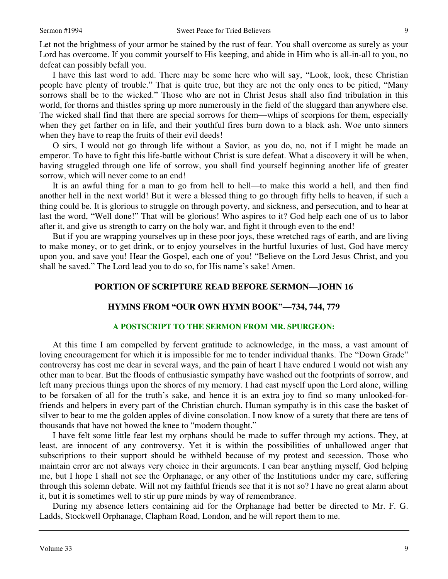Let not the brightness of your armor be stained by the rust of fear. You shall overcome as surely as your Lord has overcome. If you commit yourself to His keeping, and abide in Him who is all-in-all to you, no defeat can possibly befall you.

I have this last word to add. There may be some here who will say, "Look, look, these Christian people have plenty of trouble." That is quite true, but they are not the only ones to be pitied, "Many sorrows shall be to the wicked." Those who are not in Christ Jesus shall also find tribulation in this world, for thorns and thistles spring up more numerously in the field of the sluggard than anywhere else. The wicked shall find that there are special sorrows for them—whips of scorpions for them, especially when they get farther on in life, and their youthful fires burn down to a black ash. Woe unto sinners when they have to reap the fruits of their evil deeds!

O sirs, I would not go through life without a Savior, as you do, no, not if I might be made an emperor. To have to fight this life-battle without Christ is sure defeat. What a discovery it will be when, having struggled through one life of sorrow, you shall find yourself beginning another life of greater sorrow, which will never come to an end!

It is an awful thing for a man to go from hell to hell—to make this world a hell, and then find another hell in the next world! But it were a blessed thing to go through fifty hells to heaven, if such a thing could be. It is glorious to struggle on through poverty, and sickness, and persecution, and to hear at last the word, "Well done!" That will be glorious! Who aspires to it? God help each one of us to labor after it, and give us strength to carry on the holy war, and fight it through even to the end!

But if you are wrapping yourselves up in these poor joys, these wretched rags of earth, and are living to make money, or to get drink, or to enjoy yourselves in the hurtful luxuries of lust, God have mercy upon you, and save you! Hear the Gospel, each one of you! "Believe on the Lord Jesus Christ, and you shall be saved." The Lord lead you to do so, for His name's sake! Amen.

### **PORTION OF SCRIPTURE READ BEFORE SERMON—JOHN 16**

## **HYMNS FROM "OUR OWN HYMN BOOK"—734, 744, 779**

#### **A POSTSCRIPT TO THE SERMON FROM MR. SPURGEON:**

At this time I am compelled by fervent gratitude to acknowledge, in the mass, a vast amount of loving encouragement for which it is impossible for me to tender individual thanks. The "Down Grade" controversy has cost me dear in several ways, and the pain of heart I have endured I would not wish any other man to bear. But the floods of enthusiastic sympathy have washed out the footprints of sorrow, and left many precious things upon the shores of my memory. I had cast myself upon the Lord alone, willing to be forsaken of all for the truth's sake, and hence it is an extra joy to find so many unlooked-forfriends and helpers in every part of the Christian church. Human sympathy is in this case the basket of silver to bear to me the golden apples of divine consolation. I now know of a surety that there are tens of thousands that have not bowed the knee to "modern thought."

I have felt some little fear lest my orphans should be made to suffer through my actions. They, at least, are innocent of any controversy. Yet it is within the possibilities of unhallowed anger that subscriptions to their support should be withheld because of my protest and secession. Those who maintain error are not always very choice in their arguments. I can bear anything myself, God helping me, but I hope I shall not see the Orphanage, or any other of the Institutions under my care, suffering through this solemn debate. Will not my faithful friends see that it is not so? I have no great alarm about it, but it is sometimes well to stir up pure minds by way of remembrance.

During my absence letters containing aid for the Orphanage had better be directed to Mr. F. G. Ladds, Stockwell Orphanage, Clapham Road, London, and he will report them to me.